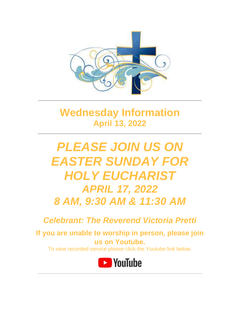

# **Wednesday Information April 13, 2022**

# *PLEASE JOIN US ON EASTER SUNDAY FOR HOLY EUCHARIST APRIL 17, 2022 8 AM, 9:30 AM & 11:30 AM*

*Celebrant: The Reverend Victoria Pretti*

**If you are unable to worship in person, please join us on Youtube.**

To view recorded service please click the Youtube link below.

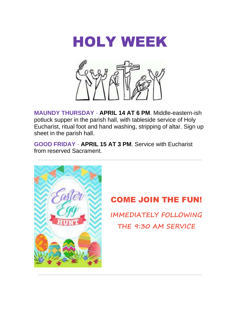



**MAUNDY THURSDAY** - **APRIL 14 AT 6 PM**. Middle-eastern-ish potluck supper in the parish hall, with tableside service of Holy Eucharist, ritual foot and hand washing, stripping of altar. Sign up sheet in the parish hall.

**GOOD FRIDAY** - **APRIL 15 AT 3 PM**. Service with Eucharist from reserved Sacrament.



## COME JOIN THE FUN!

**IMMEDIATELY FOLLOWING THE 9:30 AM SERVICE**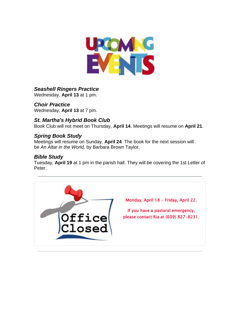

#### *Seashell Ringers Practice*

Wednesday, **April 13** at 1 pm.

#### *Choir Practice*

Wednesday, **April 13** at 7 pm.

#### *St. Martha's Hybrid Book Club*

Book Club will not meet on Thursday, **April 14**. Meetings will resume on **April 21**.

#### *Spring Book Study*

Meetings will resume on Sunday, **April 24**. The book for the next session will be *An Altar in the World,* by Barbara Brown Taylor.

#### *Bible Study*

Tuesday, **April 19** at 1 pm in the parish hall. They will be covering the 1st Letter of Peter.

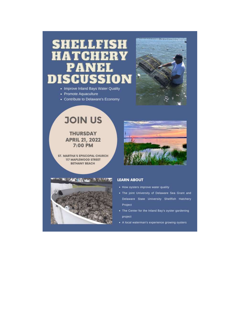## SHELLFISH HATCHERY PANE ON DISCUSSI

- Improve Inland Bays Water Quality
- Promote Aquaculture
- Contribute to Delaware's Economy



# **JOIN US**

**THURSDAY APRIL 21, 2022** 7:00 PM

ST. MARTHA'S EPISCOPAL CHURCH **117 MAPLEWOOD STREET BETHANY BEACH** 

**THE SEAN OF A REAL PROPERTY** 



#### **LEARN ABOUT**

- How oysters improve water quality
- . The joint University of Delaware Sea Grant and Delaware State University Shellfish Hatchery Project
- . The Center for the Inland Bay's oyster gardening project
- A local waterman's experience growing oysters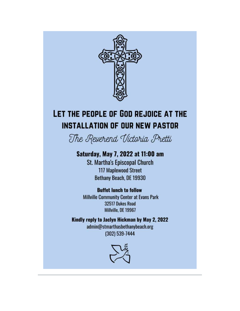

# LET THE PEOPLE OF GOD REJOICE AT THE **INSTALLATION OF OUR NEW PASTOR**

The Reverend Victoria Pretti

## Saturday, May 7, 2022 at 11:00 am

**St. Martha's Episcopal Church 117 Maplewood Street** Bethany Beach, DE 19930

### **Buffet lunch to follow**

**Millville Community Center at Evans Park** 32517 Dukes Road Millville, DE 19967

Kindly reply to Jaclyn Hickman by May 2, 2022 admin@stmarthasbethanybeach.org (302) 539-7444

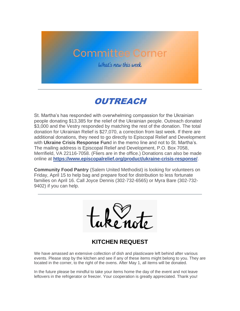# **Committee Corner**

What's new this week

## OUTREACH

St. Martha's has responded with overwhelming compassion for the Ukrainian people donating \$13,385 for the relief of the Ukrainian people. Outreach donated \$3,000 and the Vestry responded by matching the rest of the donation. The total donation for Ukrainian Relief is \$27,070, a correction from last week. If there are additional donations, they need to go directly to Episcopal Relief and Development with **Ukraine Crisis Response Fun**d in the memo line and not to St. Martha's. The mailing address is Episcopal Relief and Development, P.O. Box 7058, Merrifield, VA 22116-7058. (Fliers are in the office.) Donations can also be made online at **<https://www.episcopalrelief.org/product/ukraine-crisis-response/>**.

**Community Food Pantry** (Salem United Methodist) is looking for volunteers on Friday, April 15 to help bag and prepare food for distribution to less fortunate families on April 16. Call Joyce Dennis (302-732-6565) or Myra Bare (302-732- 9402) if you can help.

### **KITCHEN REQUEST**

We have amassed an extensive collection of dish and plasticware left behind after various events. Please stop by the kitchen and see if any of these items might belong to you. They are located in the corner, to the right of the ovens. After May 1, all items will be donated.

In the future please be mindful to take your items home the day of the event and not leave leftovers in the refrigerator or freezer. Your cooperation is greatly appreciated. Thank you!